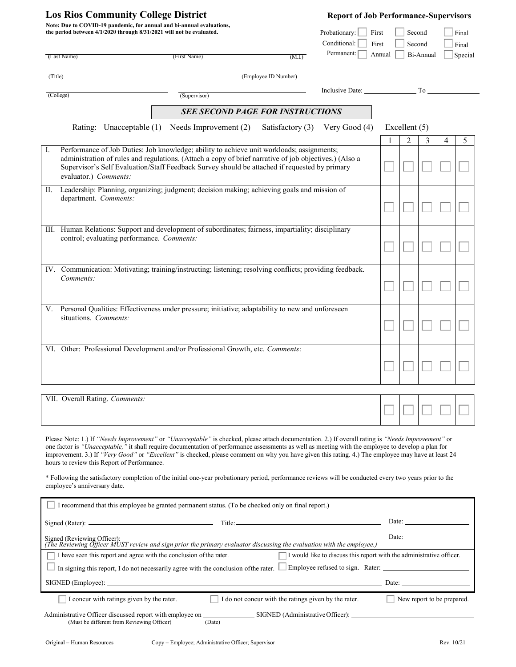| <b>Los Rios Community College District</b>                                                                                                    |                       |                                            |                                                                                                                                                                                                                                                                                                      |                                         | <b>Report of Job Performance-Supervisors</b> |                                    |                |           |   |                |  |
|-----------------------------------------------------------------------------------------------------------------------------------------------|-----------------------|--------------------------------------------|------------------------------------------------------------------------------------------------------------------------------------------------------------------------------------------------------------------------------------------------------------------------------------------------------|-----------------------------------------|----------------------------------------------|------------------------------------|----------------|-----------|---|----------------|--|
| Note: Due to COVID-19 pandemic, for annual and bi-annual evaluations,<br>the period between 4/1/2020 through 8/31/2021 will not be evaluated. |                       |                                            |                                                                                                                                                                                                                                                                                                      |                                         | Probationary:<br>Conditional:                | Second<br>First<br>First<br>Second |                |           |   | Final<br>Final |  |
|                                                                                                                                               | (Last Name)           |                                            | (First Name)                                                                                                                                                                                                                                                                                         | (M.I.)                                  | Permanent:                                   | Annual                             |                | Bi-Annual |   | Special        |  |
| (Title)                                                                                                                                       |                       |                                            |                                                                                                                                                                                                                                                                                                      | (Employee ID Number)                    |                                              |                                    |                |           |   |                |  |
|                                                                                                                                               | (College)             |                                            | (Supervisor)                                                                                                                                                                                                                                                                                         |                                         |                                              | Inclusive Date: To                 |                |           |   |                |  |
|                                                                                                                                               |                       |                                            |                                                                                                                                                                                                                                                                                                      | <b>SEE SECOND PAGE FOR INSTRUCTIONS</b> |                                              |                                    |                |           |   |                |  |
|                                                                                                                                               |                       | Rating: Unacceptable (1)                   | Needs Improvement (2)                                                                                                                                                                                                                                                                                | Satisfactory (3)                        | Very Good (4)                                | Excellent $(5)$                    |                |           |   |                |  |
|                                                                                                                                               |                       |                                            |                                                                                                                                                                                                                                                                                                      |                                         |                                              |                                    | $\overline{2}$ | 3         | 4 | 5              |  |
| Ι.                                                                                                                                            | evaluator.) Comments: |                                            | Performance of Job Duties: Job knowledge; ability to achieve unit workloads; assignments;<br>administration of rules and regulations. (Attach a copy of brief narrative of job objectives.) (Also a<br>Supervisor's Self Evaluation/Staff Feedback Survey should be attached if requested by primary |                                         |                                              |                                    |                |           |   |                |  |
| П.                                                                                                                                            | department. Comments: |                                            | Leadership: Planning, organizing; judgment; decision making; achieving goals and mission of                                                                                                                                                                                                          |                                         |                                              |                                    |                |           |   |                |  |
|                                                                                                                                               |                       | control; evaluating performance. Comments: | III. Human Relations: Support and development of subordinates; fairness, impartiality; disciplinary                                                                                                                                                                                                  |                                         |                                              |                                    |                |           |   |                |  |
|                                                                                                                                               | Comments:             |                                            | IV. Communication: Motivating; training/instructing; listening; resolving conflicts; providing feedback.                                                                                                                                                                                             |                                         |                                              |                                    |                |           |   |                |  |
| V.                                                                                                                                            | situations. Comments: |                                            | Personal Qualities: Effectiveness under pressure; initiative; adaptability to new and unforeseen                                                                                                                                                                                                     |                                         |                                              |                                    |                |           |   |                |  |
| VI.                                                                                                                                           |                       |                                            | Other: Professional Development and/or Professional Growth, etc. Comments:                                                                                                                                                                                                                           |                                         |                                              |                                    |                |           |   |                |  |
|                                                                                                                                               |                       | VII. Overall Rating. Comments:             |                                                                                                                                                                                                                                                                                                      |                                         |                                              |                                    |                |           |   |                |  |

\* Following the satisfactory completion of the initial one-year probationary period, performance reviews will be conducted every two years prior to the employee's anniversary date.

| I recommend that this employee be granted permanent status. (To be checked only on final report.)                                                             |                              |  |  |  |  |  |  |  |  |
|---------------------------------------------------------------------------------------------------------------------------------------------------------------|------------------------------|--|--|--|--|--|--|--|--|
| $\text{Title:}$                                                                                                                                               | Date:                        |  |  |  |  |  |  |  |  |
| Date:<br>Signed (Reviewing Officer):<br>(The Reviewing Officer MUST review and sign prior the primary evaluator discussing the evaluation with the employee.) |                              |  |  |  |  |  |  |  |  |
| I would like to discuss this report with the administrative officer.<br>I have seen this report and agree with the conclusion of the rater.                   |                              |  |  |  |  |  |  |  |  |
| In signing this report, I do not necessarily agree with the conclusion of the rater.                                                                          |                              |  |  |  |  |  |  |  |  |
|                                                                                                                                                               | Date: $\qquad \qquad \qquad$ |  |  |  |  |  |  |  |  |
| I concur with ratings given by the rater.<br>I do not concur with the ratings given by the rater.                                                             | New report to be prepared.   |  |  |  |  |  |  |  |  |
| Administrative Officer discussed report with employee on<br>SIGNED (Administrative Officer):<br>(Must be different from Reviewing Officer)<br>(Date)          |                              |  |  |  |  |  |  |  |  |